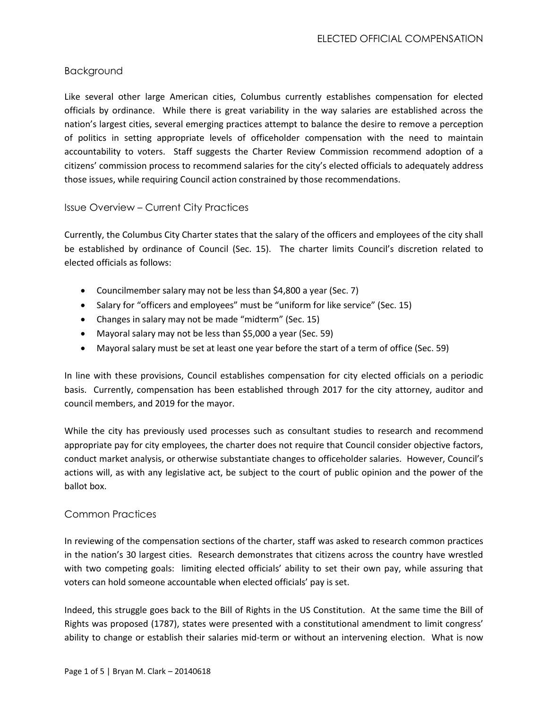## Background

Like several other large American cities, Columbus currently establishes compensation for elected officials by ordinance. While there is great variability in the way salaries are established across the nation's largest cities, several emerging practices attempt to balance the desire to remove a perception of politics in setting appropriate levels of officeholder compensation with the need to maintain accountability to voters. Staff suggests the Charter Review Commission recommend adoption of a citizens' commission process to recommend salaries for the city's elected officials to adequately address those issues, while requiring Council action constrained by those recommendations.

### Issue Overview – Current City Practices

Currently, the Columbus City Charter states that the salary of the officers and employees of the city shall be established by ordinance of Council (Sec. 15). The charter limits Council's discretion related to elected officials as follows:

- Councilmember salary may not be less than \$4,800 a year (Sec. 7)
- Salary for "officers and employees" must be "uniform for like service" (Sec. 15)
- Changes in salary may not be made "midterm" (Sec. 15)
- Mayoral salary may not be less than \$5,000 a year (Sec. 59)
- Mayoral salary must be set at least one year before the start of a term of office (Sec. 59)

In line with these provisions, Council establishes compensation for city elected officials on a periodic basis. Currently, compensation has been established through 2017 for the city attorney, auditor and council members, and 2019 for the mayor.

While the city has previously used processes such as consultant studies to research and recommend appropriate pay for city employees, the charter does not require that Council consider objective factors, conduct market analysis, or otherwise substantiate changes to officeholder salaries. However, Council's actions will, as with any legislative act, be subject to the court of public opinion and the power of the ballot box.

## Common Practices

In reviewing of the compensation sections of the charter, staff was asked to research common practices in the nation's 30 largest cities. Research demonstrates that citizens across the country have wrestled with two competing goals: limiting elected officials' ability to set their own pay, while assuring that voters can hold someone accountable when elected officials' pay is set.

Indeed, this struggle goes back to the Bill of Rights in the US Constitution. At the same time the Bill of Rights was proposed (1787), states were presented with a constitutional amendment to limit congress' ability to change or establish their salaries mid-term or without an intervening election. What is now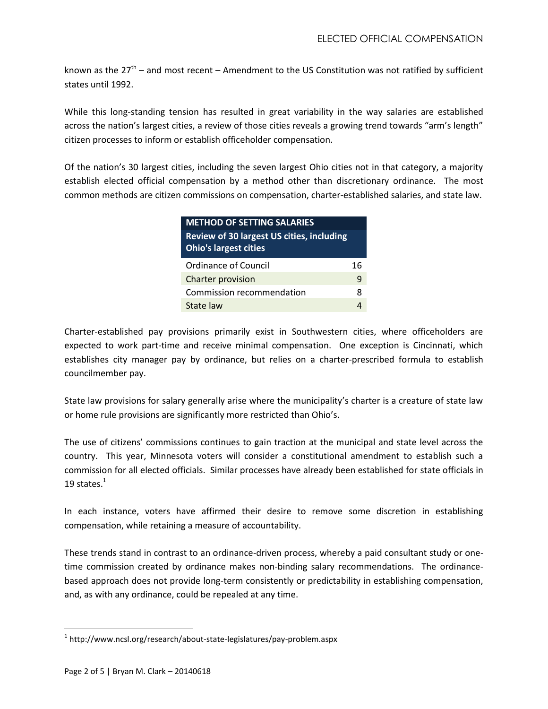known as the 27<sup>th</sup> – and most recent – Amendment to the US Constitution was not ratified by sufficient states until 1992.

While this long-standing tension has resulted in great variability in the way salaries are established across the nation's largest cities, a review of those cities reveals a growing trend towards "arm's length" citizen processes to inform or establish officeholder compensation.

Of the nation's 30 largest cities, including the seven largest Ohio cities not in that category, a majority establish elected official compensation by a method other than discretionary ordinance. The most common methods are citizen commissions on compensation, charter-established salaries, and state law.

| <b>METHOD OF SETTING SALARIES</b><br><b>Review of 30 largest US cities, including</b><br><b>Ohio's largest cities</b> |    |
|-----------------------------------------------------------------------------------------------------------------------|----|
| Ordinance of Council                                                                                                  | 16 |
| Charter provision                                                                                                     | 9  |
| Commission recommendation                                                                                             | 8  |
| State law                                                                                                             |    |

Charter-established pay provisions primarily exist in Southwestern cities, where officeholders are expected to work part-time and receive minimal compensation. One exception is Cincinnati, which establishes city manager pay by ordinance, but relies on a charter-prescribed formula to establish councilmember pay.

State law provisions for salary generally arise where the municipality's charter is a creature of state law or home rule provisions are significantly more restricted than Ohio's.

The use of citizens' commissions continues to gain traction at the municipal and state level across the country. This year, Minnesota voters will consider a constitutional amendment to establish such a commission for all elected officials. Similar processes have already been established for state officials in 19 states. $1$ 

In each instance, voters have affirmed their desire to remove some discretion in establishing compensation, while retaining a measure of accountability.

These trends stand in contrast to an ordinance-driven process, whereby a paid consultant study or onetime commission created by ordinance makes non-binding salary recommendations. The ordinancebased approach does not provide long-term consistently or predictability in establishing compensation, and, as with any ordinance, could be repealed at any time.

 $\overline{\phantom{a}}$ 

 $^{\rm 1}$  http://www.ncsl.org/research/about-state-legislatures/pay-problem.aspx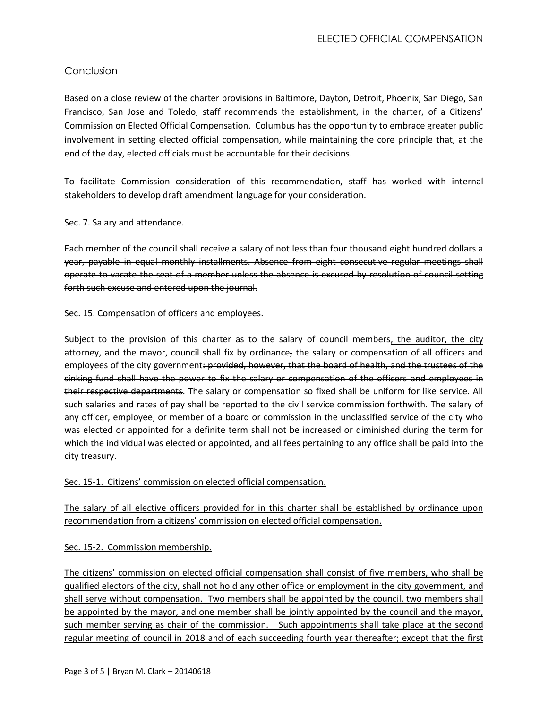# Conclusion

Based on a close review of the charter provisions in Baltimore, Dayton, Detroit, Phoenix, San Diego, San Francisco, San Jose and Toledo, staff recommends the establishment, in the charter, of a Citizens' Commission on Elected Official Compensation. Columbus has the opportunity to embrace greater public involvement in setting elected official compensation, while maintaining the core principle that, at the end of the day, elected officials must be accountable for their decisions.

To facilitate Commission consideration of this recommendation, staff has worked with internal stakeholders to develop draft amendment language for your consideration.

#### Sec. 7. Salary and attendance.

Each member of the council shall receive a salary of not less than four thousand eight hundred dollars a year, payable in equal monthly installments. Absence from eight consecutive regular meetings shall operate to vacate the seat of a member unless the absence is excused by resolution of council setting forth such excuse and entered upon the journal.

Sec. 15. Compensation of officers and employees.

Subject to the provision of this charter as to the salary of council members, the auditor, the city attorney, and the mayor, council shall fix by ordinance, the salary or compensation of all officers and employees of the city government: provided, however, that the board of health, and the trustees of the sinking fund shall have the power to fix the salary or compensation of the officers and employees in their respective departments. The salary or compensation so fixed shall be uniform for like service. All such salaries and rates of pay shall be reported to the civil service commission forthwith. The salary of any officer, employee, or member of a board or commission in the unclassified service of the city who was elected or appointed for a definite term shall not be increased or diminished during the term for which the individual was elected or appointed, and all fees pertaining to any office shall be paid into the city treasury.

Sec. 15-1. Citizens' commission on elected official compensation.

The salary of all elective officers provided for in this charter shall be established by ordinance upon recommendation from a citizens' commission on elected official compensation.

### Sec. 15-2. Commission membership.

The citizens' commission on elected official compensation shall consist of five members, who shall be qualified electors of the city, shall not hold any other office or employment in the city government, and shall serve without compensation. Two members shall be appointed by the council, two members shall be appointed by the mayor, and one member shall be jointly appointed by the council and the mayor, such member serving as chair of the commission. Such appointments shall take place at the second regular meeting of council in 2018 and of each succeeding fourth year thereafter; except that the first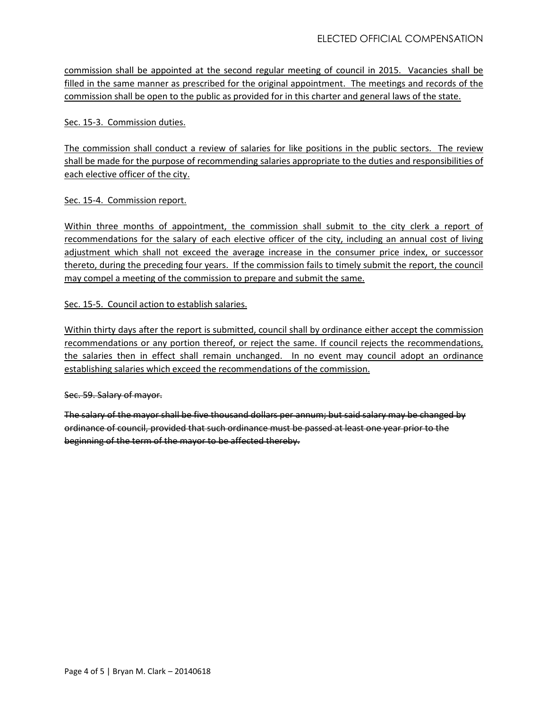commission shall be appointed at the second regular meeting of council in 2015. Vacancies shall be filled in the same manner as prescribed for the original appointment. The meetings and records of the commission shall be open to the public as provided for in this charter and general laws of the state.

Sec. 15-3. Commission duties.

The commission shall conduct a review of salaries for like positions in the public sectors. The review shall be made for the purpose of recommending salaries appropriate to the duties and responsibilities of each elective officer of the city.

Sec. 15-4. Commission report.

Within three months of appointment, the commission shall submit to the city clerk a report of recommendations for the salary of each elective officer of the city, including an annual cost of living adjustment which shall not exceed the average increase in the consumer price index, or successor thereto, during the preceding four years. If the commission fails to timely submit the report, the council may compel a meeting of the commission to prepare and submit the same.

Sec. 15-5. Council action to establish salaries.

Within thirty days after the report is submitted, council shall by ordinance either accept the commission recommendations or any portion thereof, or reject the same. If council rejects the recommendations, the salaries then in effect shall remain unchanged. In no event may council adopt an ordinance establishing salaries which exceed the recommendations of the commission.

Sec. 59. Salary of mayor.

The salary of the mayor shall be five thousand dollars per annum; but said salary may be changed by ordinance of council, provided that such ordinance must be passed at least one year prior to the beginning of the term of the mayor to be affected thereby.